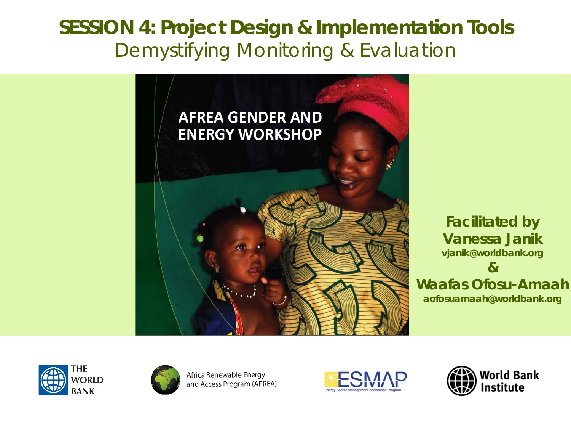### **SESSION 4: Project Design & Implementation Tools** *Demystifying Monitoring & Evaluation*



*Facilitated by Vanessa Janik vjanik@worldbank.org & Waafas Ofosu-Amaah aofosuamaah@worldbank.org*





Africa Renewable Energy and Access Program (AFREA)



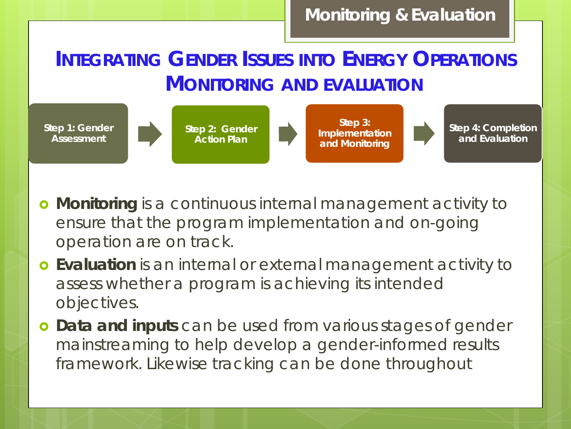*INTEGRATING GENDER ISSUES INTO ENERGY OPERATIONS MONITORING AND EVALUATION*



- **Monitoring** is a *continuous internal management activity* to ensure that the program implementation and on-going operation are on track.
- **Evaluation** is an *internal or external management activity* to assess whether a program is achieving its intended objectives.
- **Data and inputs** can be used from various stages of gender mainstreaming to help develop a gender-informed results framework. Likewise tracking can be done throughout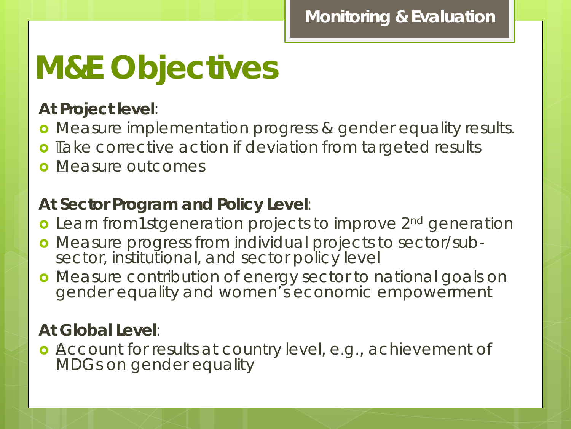# **M&E Objectives**

### **At Project level**:

- **•** Measure implementation progress & gender equality results.
- **o** Take corrective action if deviation from targeted results
- **o** Measure outcomes

### **At Sector Program and Policy Level**:

- **o** Learn from1stgeneration projects to improve 2<sup>nd</sup> generation
- Measure progress from individual projects to sector/sub- sector, institutional, and sector policy level
- **o** Measure contribution of energy sector to national goals on gender equality and women's economic empowerment

### **At Global Level**:

**o** Account for results at country level, e.g., achievement of MDGs on gender equality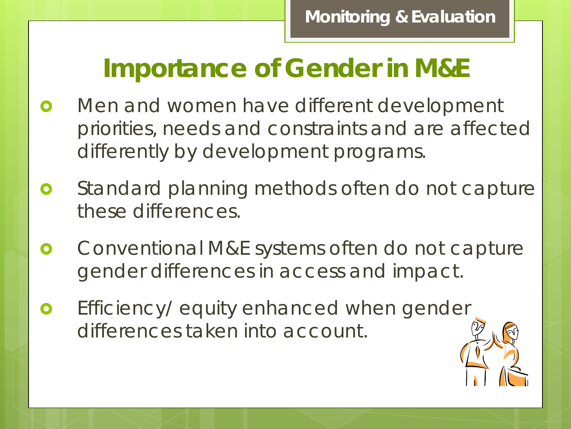# **Importance of Gender in M&E**

- **o** Men and women have different development priorities, needs and constraints and are affected differently by development programs.
- **o** Standard planning methods often do not capture these differences.
- **o** Conventional M&E systems often do not capture gender differences in access and impact.
- Efficiency/ equity enhanced when gender differences taken into account.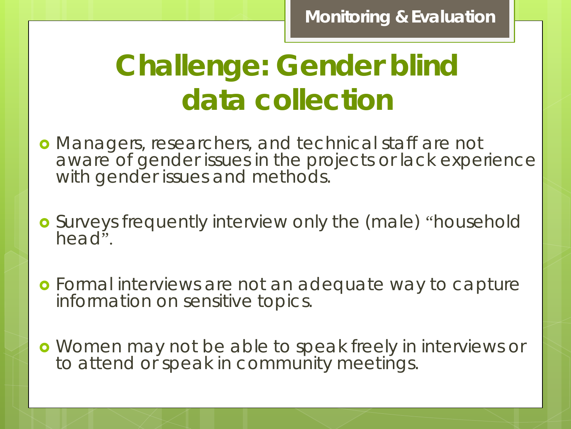# **Challenge: Gender blind data collection**

- Managers, researchers, and technical staff are not aware of gender issues in the projects or lack experience with gender issues and methods.
- Surveys frequently interview only the (male) "household head".
- Formal interviews are not an adequate way to capture information on sensitive topics.
- Women may not be able to speak freely in interviews or to attend or speak in community meetings.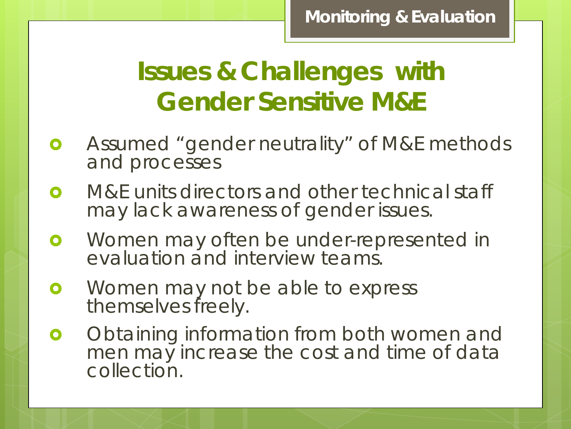# **Issues & Challenges with Gender Sensitive M&E**

- **o** Assumed "gender neutrality" of M&E methods and processes
- **o** M&E units directors and other technical staff may lack awareness of gender issues.
- **o** Women may often be under-represented in evaluation and interview teams.
- **•** Women may not be able to express themselves freely.
- **o** Obtaining information from both women and men may increase the cost and time of data collection.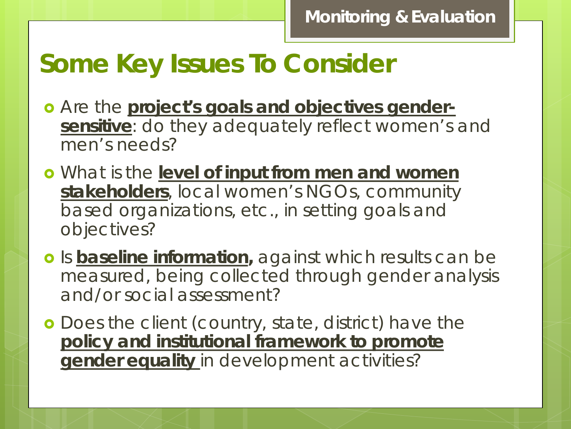# **Some Key Issues To Consider**

- Are the **project's goals and objectives gendersensitive**: do they adequately reflect women's and men's needs?
- What is the **level of input from men and women stakeholders**, local women's NGOs, community based organizations, etc., in setting goals and objectives?
- **o** Is **baseline information**, against which results can be measured, being collected through gender analysis and/or social assessment?
- **o** Does the client (country, state, district) have the **policy and institutional framework to promote gender equality** in development activities?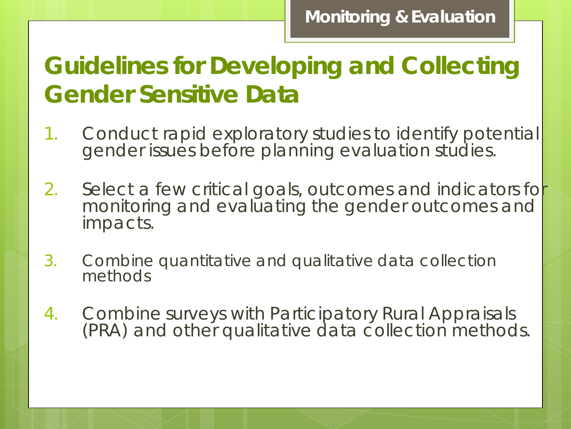## **Guidelines for Developing and Collecting Gender Sensitive Data**

- 1. Conduct rapid exploratory studies to identify potential gender issues before planning evaluation studies.
- 2. Select a few critical goals, outcomes and indicators for monitoring and evaluating the gender outcomes and impacts.
- 3. Combine quantitative and qualitative data collection methods
- 4. Combine surveys with Participatory Rural Appraisals (PRA) and other qualitative data collection methods.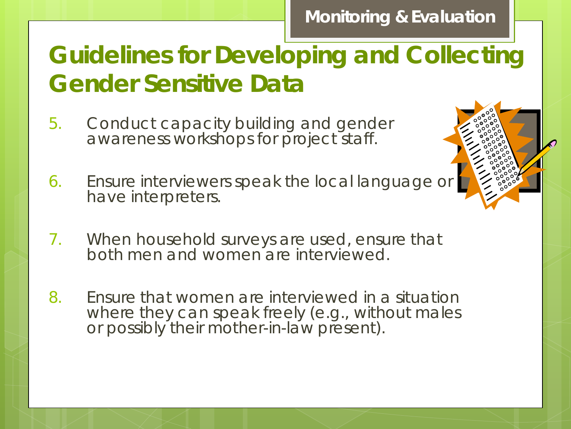## **Guidelines for Developing and Collecting Gender Sensitive Data**

- 5. Conduct capacity building and gender awareness workshops for project staff.
- 6. Ensure interviewers speak the local language or have interpreters.
- 7. When household surveys are used, ensure that both men and women are interviewed.
- 8. Ensure that women are interviewed in a situation where they can speak freely (e.g., without males or possibly their mother-in-law present).

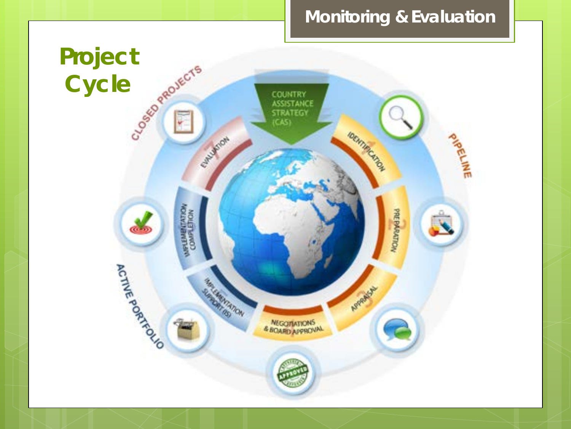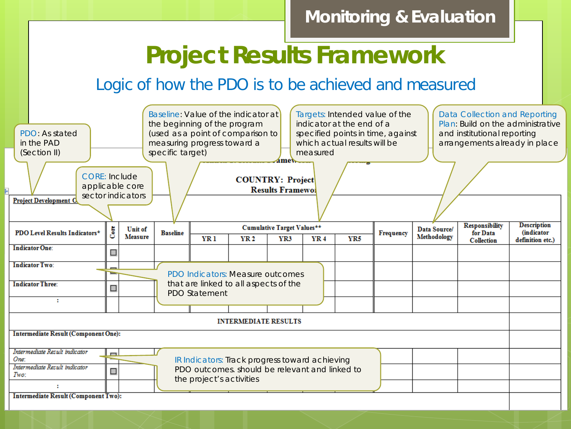## **Project Results Framework**

### Logic of how the PDO is to be achieved and measured

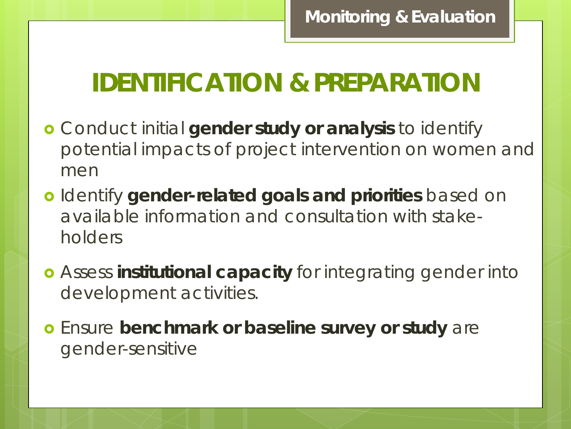## **IDENTIFICATION & PREPARATION**

- Conduct initial **gender study or analysis** to identify potential impacts of project intervention on women and men
- Identify **gender-related goals and priorities** based on available information and consultation with stakeholders
- Assess **institutional capacity** for integrating gender into development activities.
- Ensure **benchmark or baseline survey or study** are gender-sensitive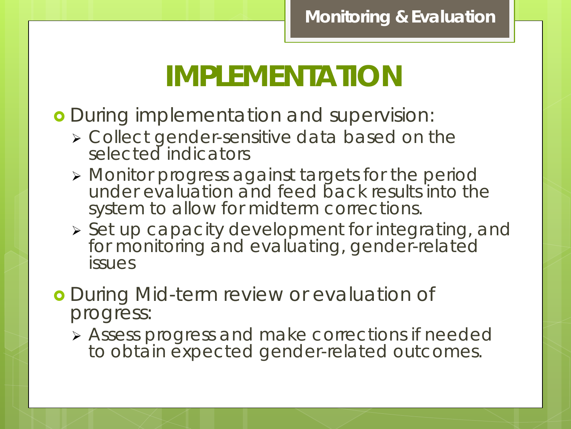# **IMPLEMENTATION**

*During implementation and supervision*:

- Collect gender-sensitive data based on the selected indicators
- Monitor progress against targets for the period under evaluation and feed back results into the system to allow for midterm corrections.
- $\triangleright$  Set up capacity development for integrating, and for monitoring and evaluating, gender-related issues
- *During Mid-term review or evaluation of progress:*
	- Assess progress and make corrections if needed to obtain expected gender-related outcomes.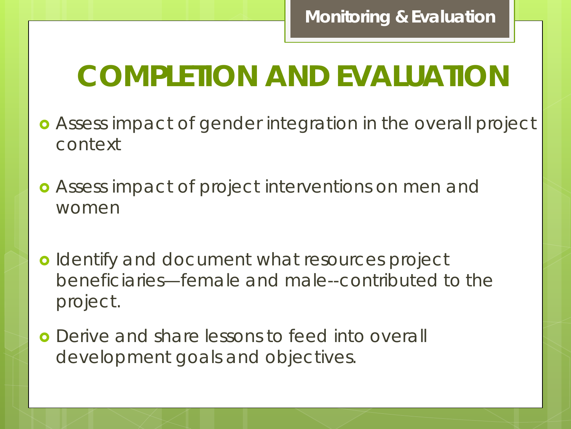# **COMPLETION AND EVALUATION**

- Assess impact of gender integration in the overall project context
- Assess impact of project interventions on men and women
- **o** Identify and document what resources project beneficiaries—female and male--contributed to the project.
- **o** Derive and share lessons to feed into overall development goals and objectives.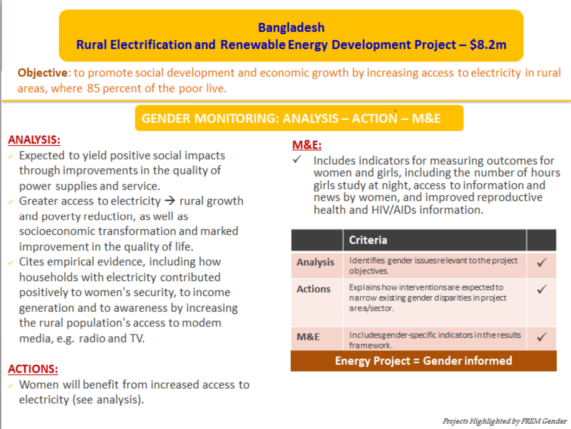#### **Bangladesh**

Rural Electrification and Renewable Energy Development Project - \$8.2m

**Objective:** to promote social development and economic growth by increasing access to electricity in rural areas, where 85 percent of the poor live.

#### **GENDER MONITORING: ANALYSIS - ACTION - M&E**

#### **ANALYSIS:**

- $\checkmark$  Expected to yield positive social impacts through improvements in the quality of power supplies and service.
- $\checkmark$  Greater access to electricity  $\rightarrow$  rural growth and poverty reduction, as well as socioeconomic transformation and marked improvement in the quality of life.
- $\checkmark$  Cites empirical evidence, including how households with electricity contributed positively to women's security, to income generation and to awareness by increasing the rural population's access to modem media, e.g. radio and TV.

#### **ACTIONS:**

 $\checkmark$  Women will benefit from increased access to electricity (see analysis).

#### **M&E:**

Includes indicators for measuring outcomes for women and girls, including the number of hours girls study at night, access to information and news by women, and improved reproductive health and HIV/AIDs information.

|                                         | <b>Criteria</b>                                                                                             |  |  |  |  |
|-----------------------------------------|-------------------------------------------------------------------------------------------------------------|--|--|--|--|
| <b>Analysis</b>                         | Identifies gender issues relevant to the project<br>objectives.                                             |  |  |  |  |
| <b>Actions</b>                          | Explains how interventions are expected to<br>narrow existing gender disparities in project<br>area/sector. |  |  |  |  |
| <b>M&amp;E</b>                          | Includesgender-specific indicators in the results<br>framework.                                             |  |  |  |  |
| <b>Energy Project = Gender informed</b> |                                                                                                             |  |  |  |  |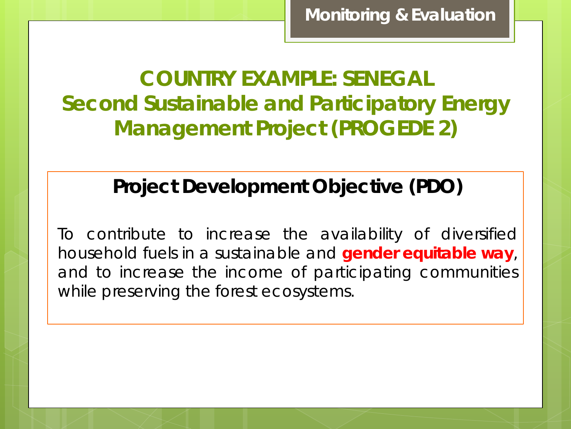**COUNTRY EXAMPLE: SENEGAL Second Sustainable and Participatory Energy Management Project (PROGEDE 2)**

### **Project Development Objective (PDO)**

To contribute to increase the availability of diversified household fuels in a sustainable and **gender equitable way**, and to increase the income of participating communities while preserving the forest ecosystems.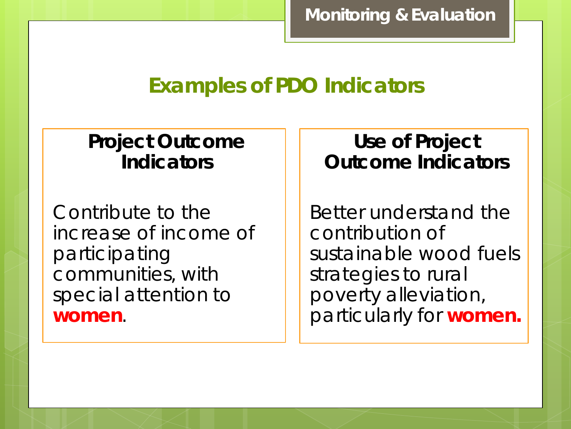### **Examples of PDO Indicators**

### **Project Outcome Indicators**

Contribute to the increase of income of participating communities, with special attention to **women**.

### **Use of Project Outcome Indicators**

Better understand the contribution of sustainable wood fuels strategies to rural poverty alleviation, particularly for **women.**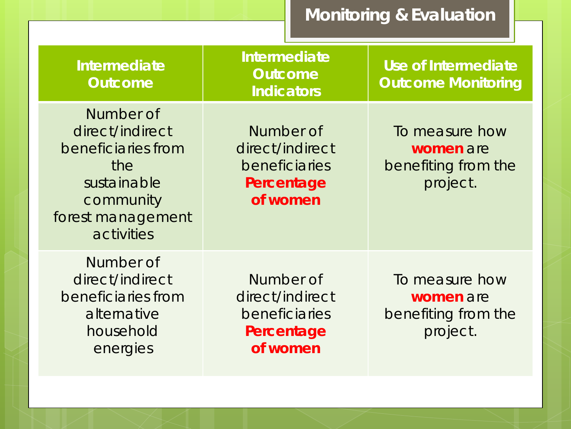| <b>Intermediate</b><br><b>Outcome</b>                                                                                    | Intermediate<br><b>Outcome</b><br><b>Indicators</b>                     | Use of Intermediate<br><b>Outcome Monitoring</b>               |  |  |
|--------------------------------------------------------------------------------------------------------------------------|-------------------------------------------------------------------------|----------------------------------------------------------------|--|--|
| Number of<br>direct/indirect<br>beneficiaries from<br>the<br>sustainable<br>community<br>forest management<br>activities | Number of<br>direct/indirect<br>beneficiaries<br>Percentage<br>of women | To measure how<br>women are<br>benefiting from the<br>project. |  |  |
| Number of<br>direct/indirect<br>beneficiaries from<br>alternative<br>household<br>energies                               | Number of<br>direct/indirect<br>beneficiaries<br>Percentage<br>of women | To measure how<br>women are<br>benefiting from the<br>project. |  |  |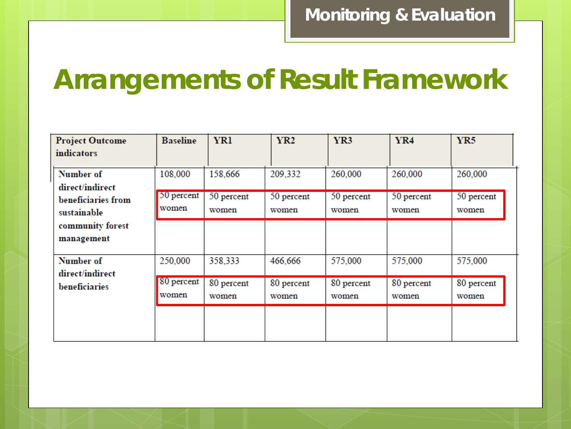## **Arrangements of Result Framework**

| <b>Project Outcome</b><br><b>indicators</b>                                                         | <b>Baseline</b>     | <b>YR1</b>          | <b>YR2</b>          | YR3                 | <b>YR4</b>          | YR5                 |
|-----------------------------------------------------------------------------------------------------|---------------------|---------------------|---------------------|---------------------|---------------------|---------------------|
| Number of<br>direct/indirect<br>beneficiaries from<br>sustainable<br>community forest<br>management | 108,000             | 158,666             | 209,332             | 260,000             | 260,000             | 260,000             |
|                                                                                                     | 50 percent<br>women | 50 percent<br>women | 50 percent<br>women | 50 percent<br>women | 50 percent<br>women | 50 percent<br>women |
|                                                                                                     |                     |                     |                     |                     |                     |                     |
| Number of<br>direct/indirect<br>beneficiaries                                                       | 250,000             | 358,333             | 466,666             | 575,000             | 575,000             | 575,000             |
|                                                                                                     | 80 percent<br>women | 80 percent<br>women | 80 percent<br>women | 80 percent<br>women | 80 percent<br>women | 80 percent<br>women |
|                                                                                                     |                     |                     |                     |                     |                     |                     |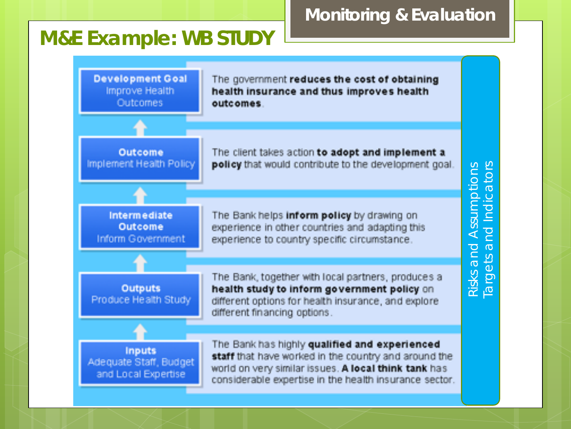### **M&E Example: WB STUDY**



**Monitoring & Evaluation**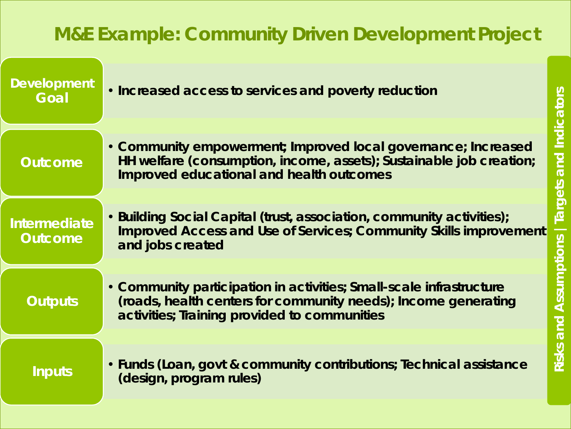### **M&E Example: Community Driven Development Project**

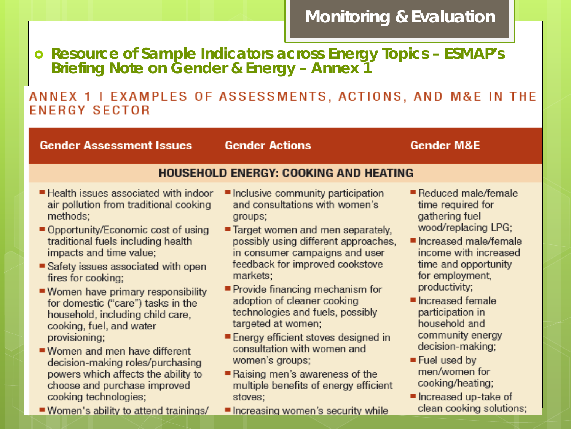**Resource of Sample Indicators across Energy Topics – ESMAP's Briefing Note on Gender & Energy – Annex 1**

#### ANNEX 1 | EXAMPLES OF ASSESSMENTS, ACTIONS, AND M&E IN THE **ENERGY SECTOR**

**Gender Assessment Issues** 

**Gender Actions** 

#### **Gender M&E**

#### **HOUSEHOLD ENERGY: COOKING AND HEATING**

- Health issues associated with indoor air pollution from traditional cooking methods:
- Opportunity/Economic cost of using traditional fuels including health impacts and time value;
- Safety issues associated with open fires for cooking:
- Women have primary responsibility for domestic ("care") tasks in the household, including child care, cooking, fuel, and water provisioning;
- Women and men have different decision-making roles/purchasing powers which affects the ability to choose and purchase improved cooking technologies;
- Women's ability to attend trainings/
- Inclusive community participation and consultations with women's groups;
- Target women and men separately, possibly using different approaches, in consumer campaigns and user feedback for improved cookstove markets:
- Provide financing mechanism for adoption of cleaner cooking technologies and fuels, possibly targeted at women;
- Energy efficient stoves designed in consultation with women and women's groups;
- Raising men's awareness of the multiple benefits of energy efficient stoves:
- Increasing women's security while
- Reduced male/female time required for gathering fuel wood/replacing LPG;
- Increased male/female income with increased time and opportunity for employment. productivity;
- $\blacksquare$  Increased female participation in household and community energy decision-making;
- $\blacksquare$  Fuel used by men/women for cooking/heating;
- Increased up-take of clean cooking solutions;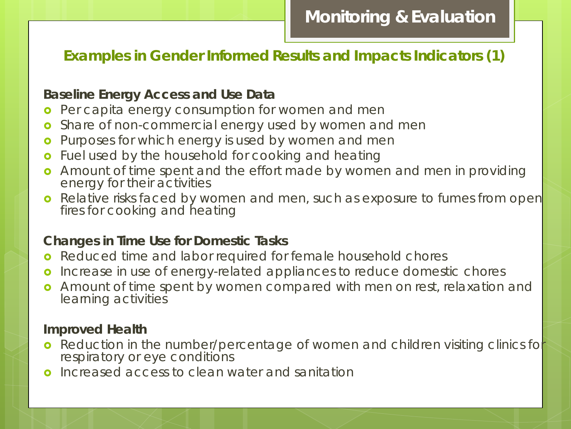#### **Examples in Gender Informed Results and Impacts Indicators (1)**

#### **Baseline Energy Access and Use Data**

- **o** Per capita energy consumption for women and men
- o Share of non-commercial energy used by women and men
- **o** Purposes for which energy is used by women and men
- **o** Fuel used by the household for cooking and heating
- **•** Amount of time spent and the effort made by women and men in providing energy for their activities
- **o** Relative risks faced by women and men, such as exposure to fumes from open fires for cooking and heating

#### **Changes in Time Use for Domestic Tasks**

- **o** Reduced time and labor required for female household chores
- **o** Increase in use of energy-related appliances to reduce domestic chores
- **o** Amount of time spent by women compared with men on rest, relaxation and learning activities

#### **Improved Health**

- **•** Reduction in the number/percentage of women and children visiting clinics for respiratory or eye conditions
- Increased access to clean water and sanitation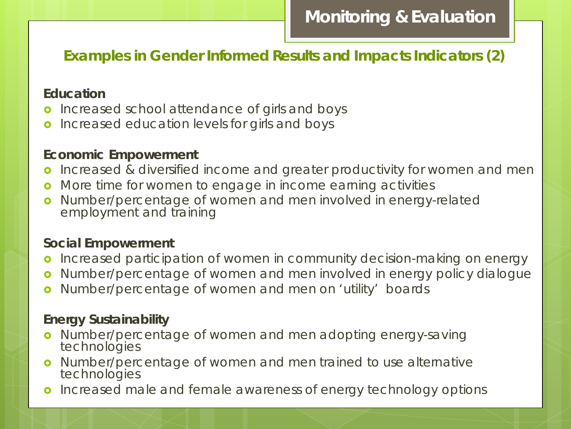#### **Examples in Gender Informed Results and Impacts Indicators (2)**

#### **Education**

- **o** Increased school attendance of girls and boys
- **o** Increased education levels for girls and boys

#### **Economic Empowerment**

- **o** Increased & diversified income and greater productivity for women and men
- **o** More time for women to engage in income earning activities
- o Number/percentage of women and men involved in energy-related employment and training

#### **Social Empowerment**

- **o** Increased participation of women in community decision-making on energy
- **o** Number/percentage of women and men involved in energy policy dialogue
- **o** Number/percentage of women and men on 'utility' boards

#### **Energy Sustainability**

- **o** Number/percentage of women and men adopting energy-saving technologies
- o Number/percentage of women and men trained to use alternative technologies
- **o** Increased male and female awareness of energy technology options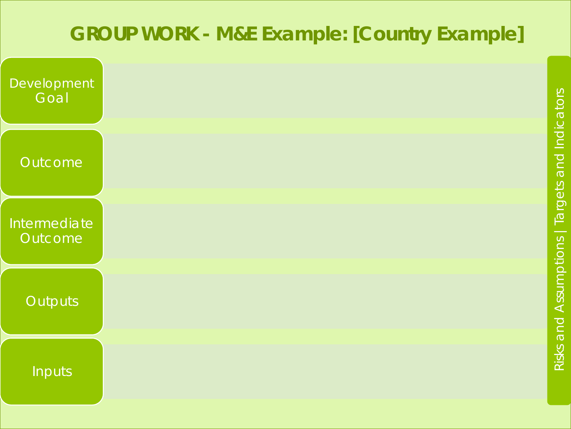### **GROUP WORK - M&E Example: [Country Example]**